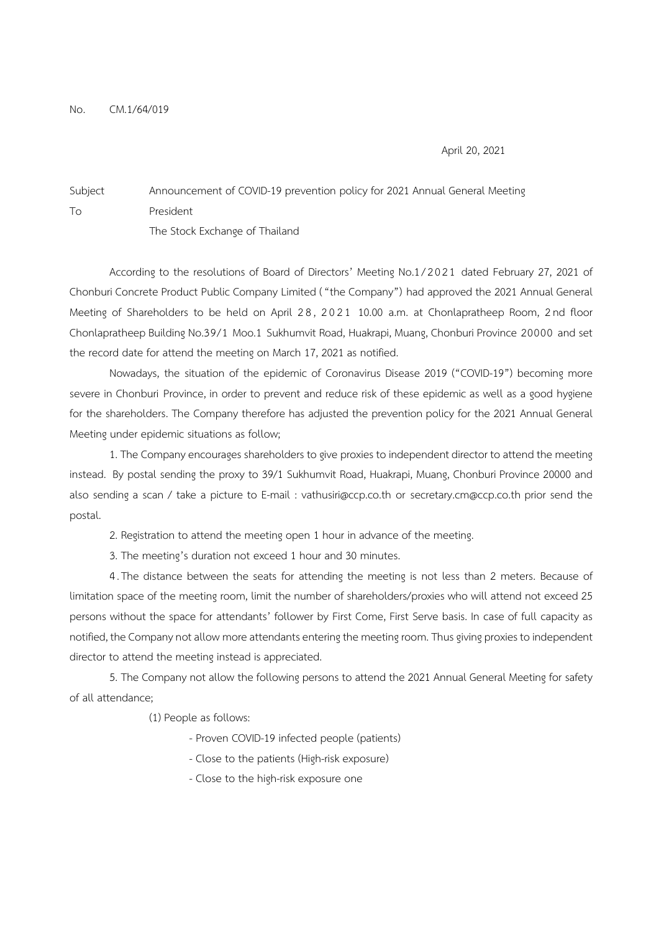April 20, 2021

## Subject Announcement of COVID-19 prevention policy for 2021 Annual General Meeting To President The Stock Exchange of Thailand

According to the resolutions of Board of Directors' Meeting No.1/2021 dated February 27, 2021 of Chonburi Concrete Product Public Company Limited ( "the Company") had approved the 2021 Annual General Meeting of Shareholders to be held on April 28, 2021 10.00 a.m. at Chonlapratheep Room, 2nd floor Chonlapratheep Building No.39/1 Moo.1 Sukhumvit Road, Huakrapi, Muang, Chonburi Province 20000 and set the record date for attend the meeting on March 17, 2021 as notified.

 Nowadays, the situation of the epidemic of Coronavirus Disease 2019 ("COVID-19") becoming more severe in Chonburi Province, in order to prevent and reduce risk of these epidemic as well as a good hygiene for the shareholders. The Company therefore has adjusted the prevention policy for the 2021 Annual General Meeting under epidemic situations as follow;

 1. The Company encourages shareholders to give proxies to independent director to attend the meeting instead. By postal sending the proxy to 39/1 Sukhumvit Road, Huakrapi, Muang, Chonburi Province 20000 and also sending a scan / take a picture to E-mail : vathusiri@ccp.co.th or secretary.cm@ccp.co.th prior send the postal.

- 2. Registration to attend the meeting open 1 hour in advance of the meeting.
- 3. The meeting's duration not exceed 1 hour and 30 minutes.

 4 . The distance between the seats for attending the meeting is not less than 2 meters. Because of limitation space of the meeting room, limit the number of shareholders/proxies who will attend not exceed 25 persons without the space for attendants' follower by First Come, First Serve basis. In case of full capacity as notified, the Company not allow more attendants entering the meeting room. Thus giving proxies to independent director to attend the meeting instead is appreciated.

 5. The Company not allow the following persons to attend the 2021 Annual General Meeting for safety of all attendance;

(1) People as follows:

- Proven COVID-19 infected people (patients)
- Close to the patients (High-risk exposure)
- Close to the high-risk exposure one